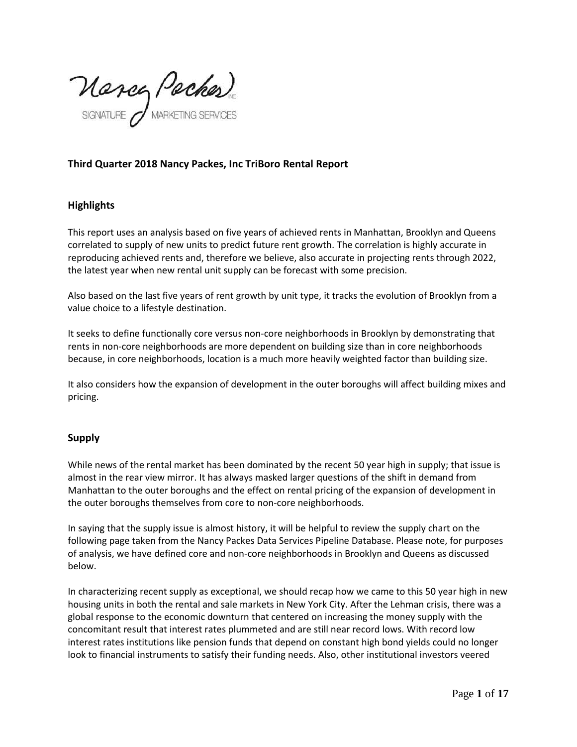Marcy Packes)

# **Third Quarter 2018 Nancy Packes, Inc TriBoro Rental Report**

# **Highlights**

This report uses an analysis based on five years of achieved rents in Manhattan, Brooklyn and Queens correlated to supply of new units to predict future rent growth. The correlation is highly accurate in reproducing achieved rents and, therefore we believe, also accurate in projecting rents through 2022, the latest year when new rental unit supply can be forecast with some precision.

Also based on the last five years of rent growth by unit type, it tracks the evolution of Brooklyn from a value choice to a lifestyle destination.

It seeks to define functionally core versus non-core neighborhoods in Brooklyn by demonstrating that rents in non-core neighborhoods are more dependent on building size than in core neighborhoods because, in core neighborhoods, location is a much more heavily weighted factor than building size.

It also considers how the expansion of development in the outer boroughs will affect building mixes and pricing.

# **Supply**

While news of the rental market has been dominated by the recent 50 year high in supply; that issue is almost in the rear view mirror. It has always masked larger questions of the shift in demand from Manhattan to the outer boroughs and the effect on rental pricing of the expansion of development in the outer boroughs themselves from core to non-core neighborhoods.

In saying that the supply issue is almost history, it will be helpful to review the supply chart on the following page taken from the Nancy Packes Data Services Pipeline Database. Please note, for purposes of analysis, we have defined core and non-core neighborhoods in Brooklyn and Queens as discussed below.

In characterizing recent supply as exceptional, we should recap how we came to this 50 year high in new housing units in both the rental and sale markets in New York City. After the Lehman crisis, there was a global response to the economic downturn that centered on increasing the money supply with the concomitant result that interest rates plummeted and are still near record lows. With record low interest rates institutions like pension funds that depend on constant high bond yields could no longer look to financial instruments to satisfy their funding needs. Also, other institutional investors veered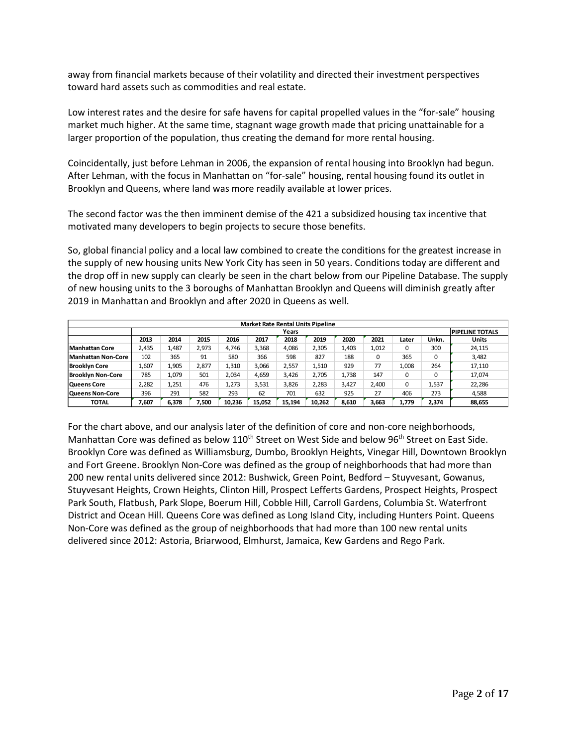away from financial markets because of their volatility and directed their investment perspectives toward hard assets such as commodities and real estate.

Low interest rates and the desire for safe havens for capital propelled values in the "for-sale" housing market much higher. At the same time, stagnant wage growth made that pricing unattainable for a larger proportion of the population, thus creating the demand for more rental housing.

Coincidentally, just before Lehman in 2006, the expansion of rental housing into Brooklyn had begun. After Lehman, with the focus in Manhattan on "for-sale" housing, rental housing found its outlet in Brooklyn and Queens, where land was more readily available at lower prices.

The second factor was the then imminent demise of the 421 a subsidized housing tax incentive that motivated many developers to begin projects to secure those benefits.

So, global financial policy and a local law combined to create the conditions for the greatest increase in the supply of new housing units New York City has seen in 50 years. Conditions today are different and the drop off in new supply can clearly be seen in the chart below from our Pipeline Database. The supply of new housing units to the 3 boroughs of Manhattan Brooklyn and Queens will diminish greatly after 2019 in Manhattan and Brooklyn and after 2020 in Queens as well.

|                          | <b>Market Rate Rental Units Pipeline</b> |       |       |        |        |        |        |       |       |       |       |              |  |
|--------------------------|------------------------------------------|-------|-------|--------|--------|--------|--------|-------|-------|-------|-------|--------------|--|
|                          |                                          | Years |       |        |        |        |        |       |       |       |       |              |  |
|                          | 2013                                     | 2014  | 2015  | 2016   | 2017   | 2018   | 2019   | 2020  | 2021  | Later | Unkn. | <b>Units</b> |  |
| Manhattan Core           | 2.435                                    | 1.487 | 2,973 | 4.746  | 3,368  | 4,086  | 2,305  | 1,403 | 1,012 | 0     | 300   | 24,115       |  |
| Manhattan Non-Core       | 102                                      | 365   | 91    | 580    | 366    | 598    | 827    | 188   | 0     | 365   | 0     | 3,482        |  |
| <b>Brooklyn Core</b>     | 1,607                                    | 1.905 | 2,877 | 1.310  | 3,066  | 2,557  | 1.510  | 929   | 77    | 1.008 | 264   | 17.110       |  |
| <b>Brooklyn Non-Core</b> | 785                                      | 1.079 | 501   | 2,034  | 4,659  | 3,426  | 2,705  | 1.738 | 147   | 0     |       | 17.074       |  |
| <b>Queens Core</b>       | 2,282                                    | 1,251 | 476   | 1.273  | 3,531  | 3.826  | 2,283  | 3,427 | 2.400 | 0     | 1,537 | 22,286       |  |
| <b>Queens Non-Core</b>   | 396                                      | 291   | 582   | 293    | 62     | 701    | 632    | 925   | 27    | 406   | 273   | 4,588        |  |
| TOTAL                    | 7.607                                    | 6.378 | 7.500 | 10.236 | 15.052 | 15.194 | 10.262 | 8,610 | 3,663 | 1.779 | 2,374 | 88,655       |  |

For the chart above, and our analysis later of the definition of core and non-core neighborhoods, Manhattan Core was defined as below  $110^{th}$  Street on West Side and below 96<sup>th</sup> Street on East Side. Brooklyn Core was defined as Williamsburg, Dumbo, Brooklyn Heights, Vinegar Hill, Downtown Brooklyn and Fort Greene. Brooklyn Non-Core was defined as the group of neighborhoods that had more than 200 new rental units delivered since 2012: Bushwick, Green Point, Bedford – Stuyvesant, Gowanus, Stuyvesant Heights, Crown Heights, Clinton Hill, Prospect Lefferts Gardens, Prospect Heights, Prospect Park South, Flatbush, Park Slope, Boerum Hill, Cobble Hill, Carroll Gardens, Columbia St. Waterfront District and Ocean Hill. Queens Core was defined as Long Island City, including Hunters Point. Queens Non-Core was defined as the group of neighborhoods that had more than 100 new rental units delivered since 2012: Astoria, Briarwood, Elmhurst, Jamaica, Kew Gardens and Rego Park.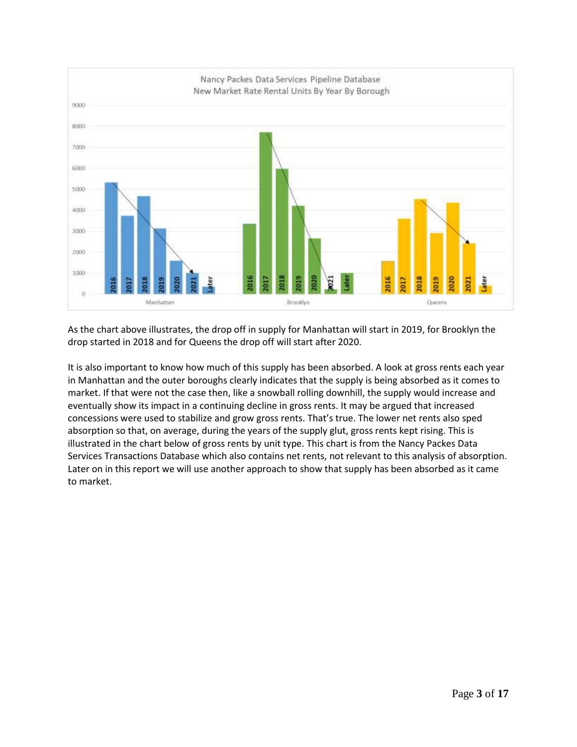

As the chart above illustrates, the drop off in supply for Manhattan will start in 2019, for Brooklyn the drop started in 2018 and for Queens the drop off will start after 2020.

It is also important to know how much of this supply has been absorbed. A look at gross rents each year in Manhattan and the outer boroughs clearly indicates that the supply is being absorbed as it comes to market. If that were not the case then, like a snowball rolling downhill, the supply would increase and eventually show its impact in a continuing decline in gross rents. It may be argued that increased concessions were used to stabilize and grow gross rents. That's true. The lower net rents also sped absorption so that, on average, during the years of the supply glut, gross rents kept rising. This is illustrated in the chart below of gross rents by unit type. This chart is from the Nancy Packes Data Services Transactions Database which also contains net rents, not relevant to this analysis of absorption. Later on in this report we will use another approach to show that supply has been absorbed as it came to market.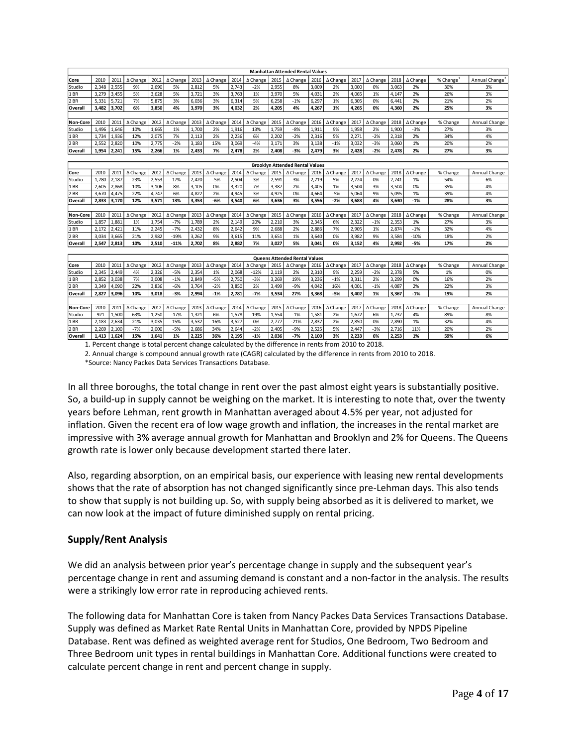|                 |       |       |          |       |          |       |                 |       |                 |       | <b>Manhattan Attended Rental Values</b> |       |                    |       |          |       |                 |                       |                            |
|-----------------|-------|-------|----------|-------|----------|-------|-----------------|-------|-----------------|-------|-----------------------------------------|-------|--------------------|-------|----------|-------|-----------------|-----------------------|----------------------------|
| Core            | 2010  | 2011  | ∆ Change | 2012  | ∆ Change | 2013  | ∆ Change        | 2014  | ∆ Change        | 2015  | ∆ Change                                | 2016  | ∆ Change           | 2017  | ∆ Change | 2018  | ∆ Change        | % Change <sup>1</sup> | Annual Change <sup>2</sup> |
| Studio          | 2.348 | 2,555 | 9%       | 2,690 | 5%       | 2.812 | 5%              | 2.743 | $-2%$           | 2,955 | 8%                                      | 3,009 | 2%                 | 3.000 | 0%       | 3.063 | 2%              | 30%                   | 3%                         |
| 1BR             | 3,279 | 3,455 | 5%       | 3,628 | 5%       | 3,721 | 3%              | 3,763 | 1%              | 3,970 | 5%                                      | 4,031 | 2%                 | 4,065 | 1%       | 4,147 | 2%              | 26%                   | 3%                         |
| 2 BR            | 5,331 | 5,721 | 7%       | 5,875 | 3%       | 6,036 | 3%              | 6,314 | 5%              | 6,258 | $-1%$                                   | 6,297 | 1%                 | 6,305 | 0%       | 6,441 | 2%              | 21%                   | 2%                         |
| Overall         | 3,482 | 3,702 | 6%       | 3,850 | 4%       | 3,970 | 3%              | 4,032 | 2%              | 4,205 | 4%                                      | 4,267 | 1%                 | 4,265 | 0%       | 4,360 | 2%              | 25%                   | 3%                         |
|                 |       |       |          |       |          |       |                 |       |                 |       |                                         |       |                    |       |          |       |                 |                       |                            |
| Non-Core        | 2010  | 2011  | ∆ Change | 2012  | ∆ Change | 2013  | $\Delta$ Change | 2014  | ∆ Change        | 2015  | $\triangle$ Change                      | 2016  | ∆ Change           | 2017  | ∆ Change | 2018  | $\Delta$ Change | % Change              | Annual Change              |
| Studio          | 1,496 | 1,646 | 10%      | 1,665 | 1%       | 1,700 | 2%              | 1,916 | 13%             | 1,759 | $-8%$                                   | 1,911 | 9%                 | 1,958 | 2%       | 1,900 | $-3%$           | 27%                   | 3%                         |
| 1BR             | 1,734 | 1,936 | 12%      | 2,075 | 7%       | 2,113 | 2%              | 2,236 | 6%              | 2,202 | $-2%$                                   | 2,316 | 5%                 | 2,271 | $-2%$    | 2,318 | 2%              | 34%                   | 4%                         |
| 2 BR            | 2,552 | 2,820 | 10%      | 2,775 | $-2%$    | 3,183 | 15%             | 3,069 | $-4%$           | 3,171 | 3%                                      | 3,138 | $-1%$              | 3,032 | $-3%$    | 3,060 | 1%              | 20%                   | 2%                         |
| Overall         | 1.954 | 2,241 | 15%      | 2,266 | 1%       | 2,433 | 7%              | 2,478 | 2%              | 2.408 | $-3%$                                   | 2,479 | 3%                 | 2.428 | $-2%$    | 2.478 | 2%              | 27%                   | 3%                         |
|                 |       |       |          |       |          |       |                 |       |                 |       |                                         |       |                    |       |          |       |                 |                       |                            |
|                 |       |       |          |       |          |       |                 |       |                 |       | <b>Brooklyn Attended Rental Values</b>  |       |                    |       |          |       |                 |                       |                            |
| Core            | 2010  | 2011  | ∆ Change | 2012  | ∆ Change | 2013  | ∆ Change        | 2014  | $\Delta$ Change | 2015  | $\Delta$ Change                         | 2016  | $\triangle$ Change | 2017  | ∆ Change | 2018  | ∆ Change        | % Change              | Annual Change              |
| Studio          | 1,780 | 2,187 | 23%      | 2,553 | 17%      | 2,420 | $-5%$           | 2,504 | 3%              | 2,591 | 3%                                      | 2,719 | 5%                 | 2,724 | 0%       | 2,741 | 1%              | 54%                   | 6%                         |
| 1 BR            | 2.605 | 2,868 | 10%      | 3,106 | 8%       | 3,105 | 0%              | 3,320 | 7%              | 3,387 | 2%                                      | 3,405 | 1%                 | 3,504 | 3%       | 3.504 | 0%              | 35%                   | 4%                         |
| 2 BR            | 3,670 | 4,475 | 22%      | 4,747 | 6%       | 4,822 | 2%              | 4,945 | 3%              | 4,925 | 0%                                      | 4,664 | $-5%$              | 5,064 | 9%       | 5,095 | 1%              | 39%                   | 4%                         |
| Overall         | 2,833 | 3,170 | 12%      | 3,571 | 13%      | 3,353 | $-6%$           | 3,540 | 6%              | 3,636 | 3%                                      | 3,556 | $-2%$              | 3,683 | 4%       | 3,630 | $-1%$           | 28%                   | 3%                         |
|                 |       |       |          |       |          |       |                 |       |                 |       |                                         |       |                    |       |          |       |                 |                       |                            |
| <b>Non-Core</b> | 2010  | 2011  | ∆ Change | 2012  | ∆ Change | 2013  | ∆ Change        | 2014  | ∆ Change        | 2015  | ∆ Change                                | 2016  | ∆ Change           | 2017  | ∆ Change | 2018  | ∆ Change        | % Change              | Annual Change              |
| Studio          | 1,857 | 1,881 | 1%       | 1,754 | $-7%$    | 1,789 | 2%              | 2,149 | 20%             | 2,210 | 3%                                      | 2,345 | 6%                 | 2,322 | $-1%$    | 2,353 | 1%              | 27%                   | 3%                         |
| 1 BR            | 2,172 | 2,421 | 11%      | 2,245 | $-7%$    | 2,432 | 8%              | 2,642 | 9%              | 2,688 | 2%                                      | 2,886 | 7%                 | 2,905 | 1%       | 2,874 | $-1%$           | 32%                   | 4%                         |
| 2 BR            | 3,034 | 3,665 | 21%      | 2,982 | $-19%$   | 3,262 | 9%              | 3,615 | 11%             | 3,651 | 1%                                      | 3,640 | 0%                 | 3,982 | 9%       | 3,584 | $-10%$          | 18%                   | 2%                         |
| Overall         | 2,547 | 2,813 | 10%      | 2,510 | $-11%$   | 2,702 | 8%              | 2,882 | 7%              | 3,027 | 5%                                      | 3,041 | 0%                 | 3,152 | 4%       | 2,992 | -5%             | 17%                   | 2%                         |
|                 |       |       |          |       |          |       |                 |       |                 |       |                                         |       |                    |       |          |       |                 |                       |                            |
|                 |       |       |          |       |          |       |                 |       |                 |       | <b>Queens Attended Rental Values</b>    |       |                    |       |          |       |                 |                       |                            |
| Core            | 2010  | 2011  | ∆ Change | 2012  | ∆ Change | 2013  | ∆ Change        | 2014  | ∆ Change        | 2015  | ∆ Change                                | 2016  | ∆ Change           | 2017  | ∆ Change | 2018  | ∆ Change        | % Change              | Annual Change              |
| Studio          | 2,345 | 2,449 | 4%       | 2,326 | $-5%$    | 2,354 | 1%              | 2,068 | $-12%$          | 2,119 | 2%                                      | 2,310 | 9%                 | 2,259 | $-2%$    | 2,378 | 5%              | 1%                    | 0%                         |
| 1BR             | 2,852 | 3,038 | 7%       | 3,008 | $-1%$    | 2,849 | $-5%$           | 2,750 | $-3%$           | 3,269 | 19%                                     | 3,236 | $-1%$              | 3,311 | 2%       | 3,299 | 0%              | 16%                   | 2%                         |
| 2 BR            | 3.349 | 4,090 | 22%      | 3,836 | $-6%$    | 3,764 | $-2%$           | 3,850 | 2%              | 3,499 | $-9%$                                   | 4,042 | 16%                | 4,001 | $-1%$    | 4,087 | 2%              | 22%                   | 3%                         |
| Overall         | 2.827 | 3,096 | 10%      | 3,018 | $-3%$    | 2,994 | $-1%$           | 2,781 | $-7%$           | 3,534 | 27%                                     | 3,368 | $-5%$              | 3,402 | 1%       | 3,367 | $-1%$           | 19%                   | 2%                         |
|                 |       |       |          |       |          |       |                 |       |                 |       |                                         |       |                    |       |          |       |                 |                       |                            |
| Non-Core        | 2010  | 2011  | ∆ Change | 2012  | ∆ Change | 2013  | ∆ Change        | 2014  | $\Delta$ Change | 2015  | $\Delta$ Change                         | 2016  | ∆ Change           | 2017  | ∆ Change | 2018  | ∆ Change        | % Change              | Annual Change              |
| Studio          | 921   | 1,500 | 63%      | 1,250 | $-17%$   | 1,321 | 6%              | 1,578 | 19%             | 1,554 | $-1%$                                   | 1,581 | 2%                 | 1,672 | 6%       | 1,737 | 4%              | 89%                   | 8%                         |
| 1BR             | 2,183 | 2,634 | 21%      | 3,035 | 15%      | 3,532 | 16%             | 3,527 | 0%              | 2,777 | $-21%$                                  | 2,837 | 2%                 | 2,850 | 0%       | 2,890 | 1%              | 32%                   | 4%                         |
| 2 BR            | 2,269 | 2,100 | $-7%$    | 2,000 | $-5%$    | 2,686 | 34%             | 2.644 | $-2%$           | 2,405 | $-9%$                                   | 2,525 | 5%                 | 2.447 | $-3%$    | 2.716 | 11%             | 20%                   | 2%                         |
| Overall         | 1.413 | 1.624 | 15%      | 1.641 | 1%       | 2.225 | 36%             | 2.195 | $-1%$           | 2.036 | $-7%$                                   | 2.100 | 3%                 | 2,233 | 6%       | 2.253 | 1%              | 59%                   | 6%                         |

1. Percent change is total percent change calculated by the difference in rents from 2010 to 2018.

2. Annual change is compound annual growth rate (CAGR) calculated by the difference in rents from 2010 to 2018. \*Source: Nancy Packes Data Services Transactions Database.

In all three boroughs, the total change in rent over the past almost eight years is substantially positive. So, a build-up in supply cannot be weighing on the market. It is interesting to note that, over the twenty years before Lehman, rent growth in Manhattan averaged about 4.5% per year, not adjusted for inflation. Given the recent era of low wage growth and inflation, the increases in the rental market are impressive with 3% average annual growth for Manhattan and Brooklyn and 2% for Queens. The Queens growth rate is lower only because development started there later.

Also, regarding absorption, on an empirical basis, our experience with leasing new rental developments shows that the rate of absorption has not changed significantly since pre-Lehman days. This also tends to show that supply is not building up. So, with supply being absorbed as it is delivered to market, we can now look at the impact of future diminished supply on rental pricing.

# **Supply/Rent Analysis**

We did an analysis between prior year's percentage change in supply and the subsequent year's percentage change in rent and assuming demand is constant and a non-factor in the analysis. The results were a strikingly low error rate in reproducing achieved rents.

The following data for Manhattan Core is taken from Nancy Packes Data Services Transactions Database. Supply was defined as Market Rate Rental Units in Manhattan Core, provided by NPDS Pipeline Database. Rent was defined as weighted average rent for Studios, One Bedroom, Two Bedroom and Three Bedroom unit types in rental buildings in Manhattan Core. Additional functions were created to calculate percent change in rent and percent change in supply.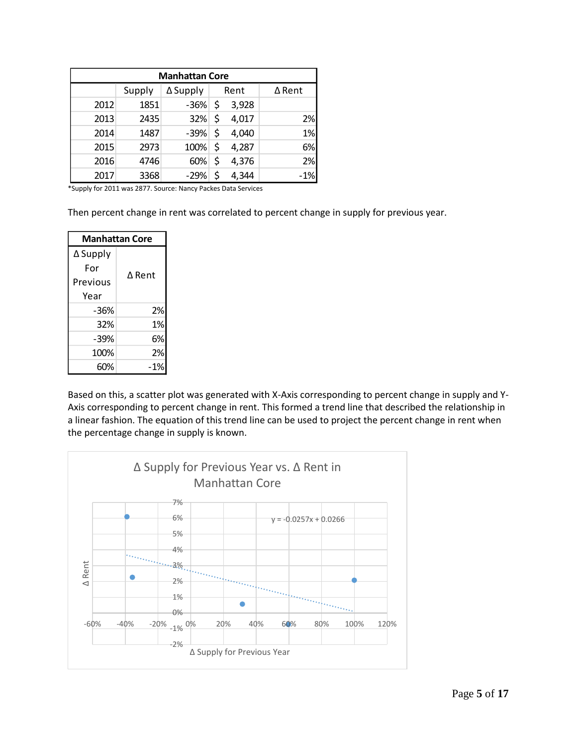|      | <b>Manhattan Core</b> |          |    |       |        |  |  |  |  |  |  |  |  |  |
|------|-----------------------|----------|----|-------|--------|--|--|--|--|--|--|--|--|--|
|      | Supply                | ∆ Supply |    | Rent  | ∆ Rent |  |  |  |  |  |  |  |  |  |
| 2012 | 1851                  | $-36%$   | \$ | 3,928 |        |  |  |  |  |  |  |  |  |  |
| 2013 | 2435                  | 32%      | \$ | 4,017 | 2%     |  |  |  |  |  |  |  |  |  |
| 2014 | 1487                  | $-39%$   | \$ | 4,040 | 1%     |  |  |  |  |  |  |  |  |  |
| 2015 | 2973                  | 100%     | \$ | 4,287 | 6%     |  |  |  |  |  |  |  |  |  |
| 2016 | 4746                  | 60%      | \$ | 4,376 | 2%     |  |  |  |  |  |  |  |  |  |
| 2017 | 3368                  | $-29%$   | \$ | 4,344 | $-1%$  |  |  |  |  |  |  |  |  |  |

\*Supply for 2011 was 2877. Source: Nancy Packes Data Services

Then percent change in rent was correlated to percent change in supply for previous year.

| <b>Manhattan Core</b> |        |  |  |  |  |  |  |  |
|-----------------------|--------|--|--|--|--|--|--|--|
| ∆ Supply              |        |  |  |  |  |  |  |  |
| For                   | A Rent |  |  |  |  |  |  |  |
| Previous              |        |  |  |  |  |  |  |  |
| Year                  |        |  |  |  |  |  |  |  |
| -36%                  | 2%     |  |  |  |  |  |  |  |
| 32%                   | 1%     |  |  |  |  |  |  |  |
| -39%                  | 6%     |  |  |  |  |  |  |  |
| 100%                  | 2%     |  |  |  |  |  |  |  |
| 60%                   | -1%    |  |  |  |  |  |  |  |

Based on this, a scatter plot was generated with X-Axis corresponding to percent change in supply and Y-Axis corresponding to percent change in rent. This formed a trend line that described the relationship in a linear fashion. The equation of this trend line can be used to project the percent change in rent when the percentage change in supply is known.

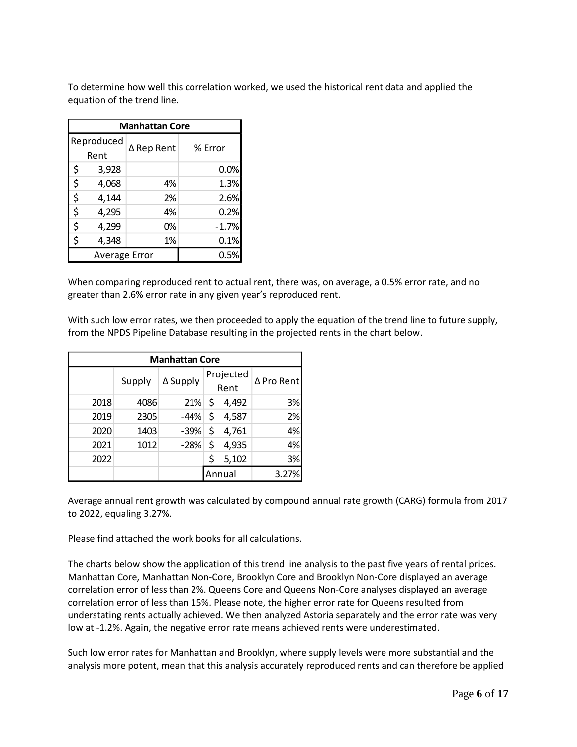To determine how well this correlation worked, we used the historical rent data and applied the equation of the trend line.

| <b>Manhattan Core</b> |            |         |  |  |  |  |  |  |  |  |
|-----------------------|------------|---------|--|--|--|--|--|--|--|--|
| Reproduced            |            |         |  |  |  |  |  |  |  |  |
| Rent                  | ∆ Rep Rent | % Error |  |  |  |  |  |  |  |  |
| \$<br>3,928           |            | 0.0%    |  |  |  |  |  |  |  |  |
| \$<br>4,068           | 4%         | 1.3%    |  |  |  |  |  |  |  |  |
| \$<br>4,144           | 2%         | 2.6%    |  |  |  |  |  |  |  |  |
| \$<br>4,295           | 4%         | 0.2%    |  |  |  |  |  |  |  |  |
| \$<br>4,299           | 0%         | $-1.7%$ |  |  |  |  |  |  |  |  |
| \$<br>4,348           | 1%         | 0.1%    |  |  |  |  |  |  |  |  |
| <b>Average Error</b>  | 0.5%       |         |  |  |  |  |  |  |  |  |

When comparing reproduced rent to actual rent, there was, on average, a 0.5% error rate, and no greater than 2.6% error rate in any given year's reproduced rent.

With such low error rates, we then proceeded to apply the equation of the trend line to future supply, from the NPDS Pipeline Database resulting in the projected rents in the chart below.

|      | <b>Manhattan Core</b> |          |                   |        |            |  |  |  |  |  |  |  |  |  |
|------|-----------------------|----------|-------------------|--------|------------|--|--|--|--|--|--|--|--|--|
|      | Supply                | ∆ Supply | Projected<br>Rent |        | ∆ Pro Rent |  |  |  |  |  |  |  |  |  |
| 2018 | 4086                  | 21%      | -\$               | 4,492  | 3%         |  |  |  |  |  |  |  |  |  |
| 2019 | 2305                  | -44%     | \$                | 4,587  | 2%         |  |  |  |  |  |  |  |  |  |
| 2020 | 1403                  | $-39%$   | \$                | 4,761  | 4%         |  |  |  |  |  |  |  |  |  |
| 2021 | 1012                  | $-28%$   | \$                | 4,935  | 4%         |  |  |  |  |  |  |  |  |  |
| 2022 |                       |          |                   | 5,102  | 3%         |  |  |  |  |  |  |  |  |  |
|      |                       |          |                   | Annual | 3.27%      |  |  |  |  |  |  |  |  |  |

Average annual rent growth was calculated by compound annual rate growth (CARG) formula from 2017 to 2022, equaling 3.27%.

Please find attached the work books for all calculations.

The charts below show the application of this trend line analysis to the past five years of rental prices. Manhattan Core, Manhattan Non-Core, Brooklyn Core and Brooklyn Non-Core displayed an average correlation error of less than 2%. Queens Core and Queens Non-Core analyses displayed an average correlation error of less than 15%. Please note, the higher error rate for Queens resulted from understating rents actually achieved. We then analyzed Astoria separately and the error rate was very low at -1.2%. Again, the negative error rate means achieved rents were underestimated.

Such low error rates for Manhattan and Brooklyn, where supply levels were more substantial and the analysis more potent, mean that this analysis accurately reproduced rents and can therefore be applied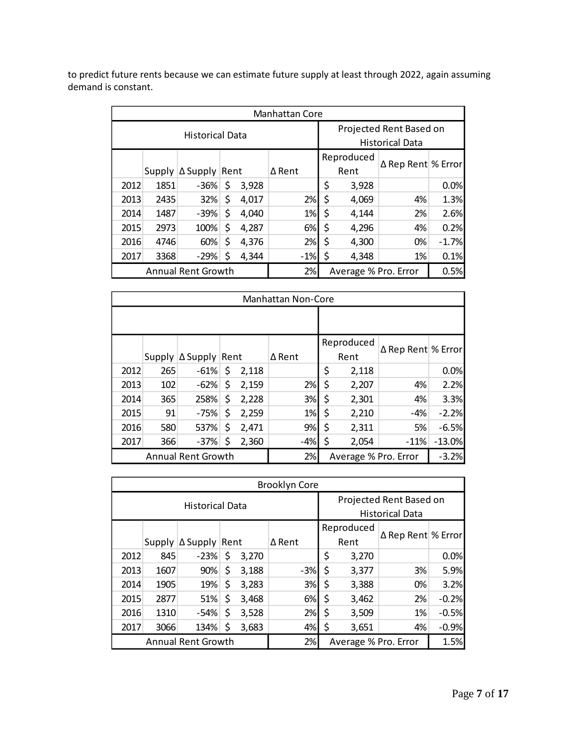to predict future rents because we can estimate future supply at least through 2022, again assuming demand is constant.

|      | <b>Manhattan Core</b> |                             |    |       |               |                         |                      |            |                    |         |  |  |  |
|------|-----------------------|-----------------------------|----|-------|---------------|-------------------------|----------------------|------------|--------------------|---------|--|--|--|
|      |                       | <b>Historical Data</b>      |    |       |               | Projected Rent Based on |                      |            |                    |         |  |  |  |
|      |                       |                             |    |       |               | <b>Historical Data</b>  |                      |            |                    |         |  |  |  |
|      |                       |                             |    |       |               |                         |                      | Reproduced |                    |         |  |  |  |
|      |                       | Supply $\Delta$ Supply Rent |    |       | $\Delta$ Rent |                         |                      | Rent       | ∆ Rep Rent % Error |         |  |  |  |
| 2012 | 1851                  | -36%                        | \$ | 3,928 |               |                         | \$                   | 3,928      |                    | 0.0%    |  |  |  |
| 2013 | 2435                  | 32%                         | \$ | 4,017 |               | 2%                      | \$                   | 4,069      | 4%                 | 1.3%    |  |  |  |
| 2014 | 1487                  | $-39%$                      | \$ | 4,040 |               | 1%                      | \$                   | 4,144      | 2%                 | 2.6%    |  |  |  |
| 2015 | 2973                  | 100%                        | \$ | 4,287 |               | 6%                      | \$                   | 4,296      | 4%                 | 0.2%    |  |  |  |
| 2016 | 4746                  | 60%                         | \$ | 4,376 |               | 2%                      | \$                   | 4,300      | 0%                 | $-1.7%$ |  |  |  |
| 2017 | 3368                  | $-29%$                      | \$ | 4,344 |               | $-1%$                   | \$                   | 4,348      | 1%                 | 0.1%    |  |  |  |
|      |                       | <b>Annual Rent Growth</b>   |    |       |               | 2%                      | Average % Pro. Error |            |                    | 0.5%    |  |  |  |

|      | <b>Manhattan Non-Core</b> |                             |    |       |               |    |                      |                    |          |  |  |  |  |
|------|---------------------------|-----------------------------|----|-------|---------------|----|----------------------|--------------------|----------|--|--|--|--|
|      |                           |                             |    |       |               |    |                      |                    |          |  |  |  |  |
|      |                           |                             |    |       |               |    | Reproduced           |                    |          |  |  |  |  |
|      |                           | Supply $\Delta$ Supply Rent |    |       | $\Delta$ Rent |    | Rent                 | ∆ Rep Rent % Error |          |  |  |  |  |
| 2012 | 265                       | $-61%$                      | \$ | 2,118 |               | \$ | 2,118                |                    | 0.0%     |  |  |  |  |
| 2013 | 102                       | $-62%$                      | \$ | 2,159 | 2%            | \$ | 2,207                | 4%                 | 2.2%     |  |  |  |  |
| 2014 | 365                       | 258%                        | \$ | 2,228 | 3%            | \$ | 2,301                | 4%                 | 3.3%     |  |  |  |  |
| 2015 | 91                        | $-75%$                      | \$ | 2,259 | 1%            | \$ | 2,210                | $-4%$              | $-2.2%$  |  |  |  |  |
| 2016 | 580                       | 537%                        | \$ | 2,471 | 9%            | \$ | 2,311                | 5%                 | $-6.5%$  |  |  |  |  |
| 2017 | 366                       | $-37%$                      | \$ | 2,360 | $-4%$         | \$ | 2,054                | $-11%$             | $-13.0%$ |  |  |  |  |
|      |                           | <b>Annual Rent Growth</b>   |    |       | 2%            |    | Average % Pro. Error |                    | $-3.2%$  |  |  |  |  |

|      |      |                             |    |       | <b>Brooklyn Core</b> |                        |                         |                    |         |  |
|------|------|-----------------------------|----|-------|----------------------|------------------------|-------------------------|--------------------|---------|--|
|      |      | <b>Historical Data</b>      |    |       |                      |                        | Projected Rent Based on |                    |         |  |
|      |      |                             |    |       |                      | <b>Historical Data</b> |                         |                    |         |  |
|      |      |                             |    |       |                      |                        | Reproduced              | ∆ Rep Rent % Error |         |  |
|      |      | Supply $\Delta$ Supply Rent |    |       | $\Delta$ Rent        |                        | Rent                    |                    |         |  |
| 2012 | 845  | $-23%$                      | \$ | 3,270 |                      | \$                     | 3,270                   |                    | 0.0%    |  |
| 2013 | 1607 | 90%                         | \$ | 3,188 | $-3%$                | \$                     | 3,377                   | 3%                 | 5.9%    |  |
| 2014 | 1905 | 19%                         | \$ | 3,283 | 3%                   | \$                     | 3,388                   | 0%                 | 3.2%    |  |
| 2015 | 2877 | 51%                         | \$ | 3,468 | 6%                   | \$                     | 3,462                   | 2%                 | $-0.2%$ |  |
| 2016 | 1310 | $-54%$                      | \$ | 3,528 | 2%                   | \$                     | 3,509                   | 1%                 | $-0.5%$ |  |
| 2017 | 3066 | 134%                        | S  | 3,683 | 4%                   | \$                     | 3,651                   | 4%                 | $-0.9%$ |  |
|      |      | <b>Annual Rent Growth</b>   |    |       | 2%                   | Average % Pro. Error   |                         |                    | 1.5%    |  |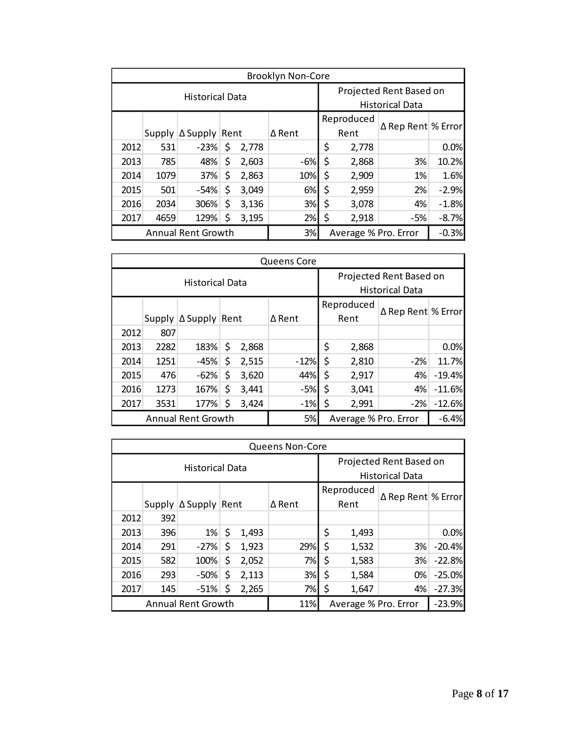|      | <b>Brooklyn Non-Core</b> |                             |    |       |                         |                        |                      |     |                    |  |  |  |  |  |
|------|--------------------------|-----------------------------|----|-------|-------------------------|------------------------|----------------------|-----|--------------------|--|--|--|--|--|
|      |                          | <b>Historical Data</b>      |    |       | Projected Rent Based on |                        |                      |     |                    |  |  |  |  |  |
|      |                          |                             |    |       |                         | <b>Historical Data</b> |                      |     |                    |  |  |  |  |  |
|      |                          |                             |    |       |                         |                        | Reproduced           |     |                    |  |  |  |  |  |
|      |                          | Supply $\Delta$ Supply Rent |    |       | $\Delta$ Rent           |                        | Rent                 |     | ∆ Rep Rent % Error |  |  |  |  |  |
| 2012 | 531                      | $-23%$                      | \$ | 2,778 |                         | \$                     | 2,778                |     | 0.0%               |  |  |  |  |  |
| 2013 | 785                      | 48%                         | \$ | 2,603 | $-6%$                   | \$                     | 2,868                | 3%  | 10.2%              |  |  |  |  |  |
| 2014 | 1079                     | 37%                         | \$ | 2,863 | 10%                     | \$                     | 2,909                | 1%  | 1.6%               |  |  |  |  |  |
| 2015 | 501                      | $-54%$                      | \$ | 3,049 | 6%                      | \$                     | 2,959                | 2%  | $-2.9%$            |  |  |  |  |  |
| 2016 | 2034                     | 306%                        | \$ | 3,136 | 3%                      | \$                     | 3,078                | 4%  | $-1.8%$            |  |  |  |  |  |
| 2017 | 4659                     | 129%                        | \$ | 3,195 | 2%                      | \$                     | 2,918                | -5% | $-8.7%$            |  |  |  |  |  |
|      |                          | Annual Rent Growth          |    |       | 3%                      |                        | Average % Pro. Error |     | $-0.3%$            |  |  |  |  |  |

|      | <b>Queens Core</b> |                             |    |       |               |                        |                         |                    |          |  |  |  |  |  |
|------|--------------------|-----------------------------|----|-------|---------------|------------------------|-------------------------|--------------------|----------|--|--|--|--|--|
|      |                    | <b>Historical Data</b>      |    |       |               |                        | Projected Rent Based on |                    |          |  |  |  |  |  |
|      |                    |                             |    |       |               | <b>Historical Data</b> |                         |                    |          |  |  |  |  |  |
|      |                    |                             |    |       |               |                        | Reproduced              | ∆ Rep Rent % Error |          |  |  |  |  |  |
|      |                    | Supply $\Delta$ Supply Rent |    |       | $\Delta$ Rent |                        | Rent                    |                    |          |  |  |  |  |  |
| 2012 | 807                |                             |    |       |               |                        |                         |                    |          |  |  |  |  |  |
| 2013 | 2282               | 183%                        | \$ | 2,868 |               | \$                     | 2,868                   |                    | 0.0%     |  |  |  |  |  |
| 2014 | 1251               | $-45%$                      | \$ | 2,515 | $-12%$        | \$                     | 2,810                   | $-2%$              | 11.7%    |  |  |  |  |  |
| 2015 | 476                | $-62%$                      | \$ | 3,620 | 44%           | \$                     | 2,917                   | 4%                 | $-19.4%$ |  |  |  |  |  |
| 2016 | 1273               | 167%                        | \$ | 3,441 | -5%           | \$                     | 3,041                   | 4%                 | $-11.6%$ |  |  |  |  |  |
| 2017 | 3531               | 177%                        | \$ | 3,424 | $-1%$         | \$                     | 2,991                   | $-2%$              | $-12.6%$ |  |  |  |  |  |
|      |                    | <b>Annual Rent Growth</b>   |    |       | 5%            | Average % Pro. Error   |                         |                    | $-6.4%$  |  |  |  |  |  |

|      | <b>Queens Non-Core</b> |                             |    |       |        |                                  |                         |    |          |  |  |  |  |  |
|------|------------------------|-----------------------------|----|-------|--------|----------------------------------|-------------------------|----|----------|--|--|--|--|--|
|      |                        | <b>Historical Data</b>      |    |       |        |                                  | Projected Rent Based on |    |          |  |  |  |  |  |
|      |                        |                             |    |       |        | <b>Historical Data</b>           |                         |    |          |  |  |  |  |  |
|      |                        |                             |    |       |        | Reproduced<br>∆ Rep Rent % Error |                         |    |          |  |  |  |  |  |
|      |                        | Supply $\Delta$ Supply Rent |    |       | ∆ Rent |                                  | Rent                    |    |          |  |  |  |  |  |
| 2012 | 392                    |                             |    |       |        |                                  |                         |    |          |  |  |  |  |  |
| 2013 | 396                    | 1%                          | \$ | 1,493 |        | \$                               | 1,493                   |    | 0.0%     |  |  |  |  |  |
| 2014 | 291                    | $-27%$                      | \$ | 1,923 | 29%    | \$                               | 1,532                   | 3% | $-20.4%$ |  |  |  |  |  |
| 2015 | 582                    | 100%                        | \$ | 2,052 | 7%     | \$                               | 1,583                   | 3% | $-22.8%$ |  |  |  |  |  |
| 2016 | 293                    | -50%                        | \$ | 2,113 | 3%     | \$                               | 1,584                   | 0% | $-25.0%$ |  |  |  |  |  |
| 2017 | 145                    | $-51%$                      |    | 2,265 | 7%     | \$                               | 1,647                   | 4% | $-27.3%$ |  |  |  |  |  |
|      |                        | <b>Annual Rent Growth</b>   |    |       | 11%    |                                  | Average % Pro. Error    |    | $-23.9%$ |  |  |  |  |  |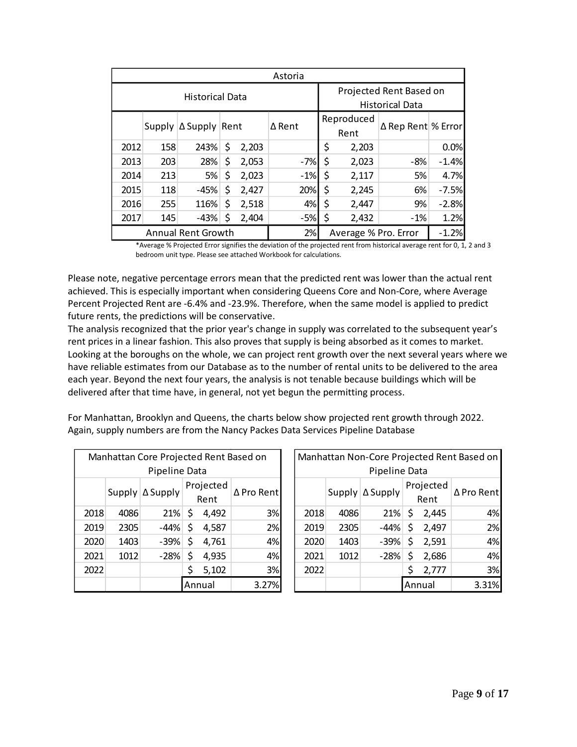| Astoria                |                             |        |        |       |                    |                    |                         |     |         |  |
|------------------------|-----------------------------|--------|--------|-------|--------------------|--------------------|-------------------------|-----|---------|--|
| <b>Historical Data</b> |                             |        |        |       |                    |                    | Projected Rent Based on |     |         |  |
|                        |                             |        |        |       |                    |                    | <b>Historical Data</b>  |     |         |  |
|                        | Supply $\Delta$ Supply Rent |        | ∆ Rent |       | Reproduced<br>Rent | ∆ Rep Rent % Error |                         |     |         |  |
| 2012                   | 158                         | 243%   | \$     | 2,203 |                    | \$                 | 2,203                   |     | 0.0%    |  |
| 2013                   | 203                         | 28%    | \$     | 2,053 | $-7%$              | \$                 | 2,023                   | -8% | $-1.4%$ |  |
| 2014                   | 213                         | 5%     | \$     | 2,023 | $-1%$              | \$                 | 2,117                   | 5%  | 4.7%    |  |
| 2015                   | 118                         | $-45%$ | \$     | 2,427 | 20%                | \$                 | 2,245                   | 6%  | $-7.5%$ |  |
| 2016                   | 255                         | 116%   | \$     | 2,518 | 4%                 | \$                 | 2,447                   | 9%  | $-2.8%$ |  |
| 2017                   | \$<br>$-43%$                | 2,404  | $-5%$  | \$    | 2,432              | $-1%$              | 1.2%                    |     |         |  |
| Annual Rent Growth     |                             |        |        |       | 2%                 |                    | Average % Pro. Error    |     | $-1.2%$ |  |

\*Average % Projected Error signifies the deviation of the projected rent from historical average rent for 0, 1, 2 and 3 bedroom unit type. Please see attached Workbook for calculations.

Please note, negative percentage errors mean that the predicted rent was lower than the actual rent achieved. This is especially important when considering Queens Core and Non-Core, where Average Percent Projected Rent are -6.4% and -23.9%. Therefore, when the same model is applied to predict future rents, the predictions will be conservative.

The analysis recognized that the prior year's change in supply was correlated to the subsequent year's rent prices in a linear fashion. This also proves that supply is being absorbed as it comes to market. Looking at the boroughs on the whole, we can project rent growth over the next several years where we have reliable estimates from our Database as to the number of rental units to be delivered to the area each year. Beyond the next four years, the analysis is not tenable because buildings which will be delivered after that time have, in general, not yet begun the permitting process.

For Manhattan, Brooklyn and Queens, the charts below show projected rent growth through 2022. Again, supply numbers are from the Nancy Packes Data Services Pipeline Database

| Manhattan Core Projected Rent Based on |                   |                   |             |                   |            |  |  |
|----------------------------------------|-------------------|-------------------|-------------|-------------------|------------|--|--|
| Pipeline Data                          |                   |                   |             |                   |            |  |  |
|                                        |                   | Supply   ∆ Supply |             | Projected<br>Rent | ∆ Pro Rent |  |  |
| 2018                                   | 4086              | 21%               | \$          | 4,492             | 3%         |  |  |
| 2019                                   | 2305              | -44%              | \$<br>4,587 |                   | 2%         |  |  |
| 2020                                   | 1403              | -39%              | \$          | 4,761             | 4%         |  |  |
| 2021                                   | 1012              | -28%              | \$<br>4,935 |                   | 4%         |  |  |
| 2022                                   | \$<br>3%<br>5,102 |                   |             |                   |            |  |  |
|                                        |                   | 3.27%             |             |                   |            |  |  |

| Manhattan Non-Core Projected Rent Based on |                  |                        |    |                   |            |  |  |  |
|--------------------------------------------|------------------|------------------------|----|-------------------|------------|--|--|--|
| Pipeline Data                              |                  |                        |    |                   |            |  |  |  |
|                                            |                  | Supply $\Delta$ Supply |    | Projected<br>Rent | ∆ Pro Rent |  |  |  |
| 2018                                       | 4086             | 21%                    | -S | 2,445             | 4%         |  |  |  |
| 2019                                       | 2305             | -44%                   | \$ | 2,497             | 2%         |  |  |  |
| 2020                                       | 1403             | $-39%$                 | \$ | 2,591             | 4%         |  |  |  |
| 2021                                       | 1012             | $-28%$                 | \$ | 2,686             | 4%         |  |  |  |
| 2022                                       | Ś<br>3%<br>2,777 |                        |    |                   |            |  |  |  |
|                                            |                  | 3.31%                  |    |                   |            |  |  |  |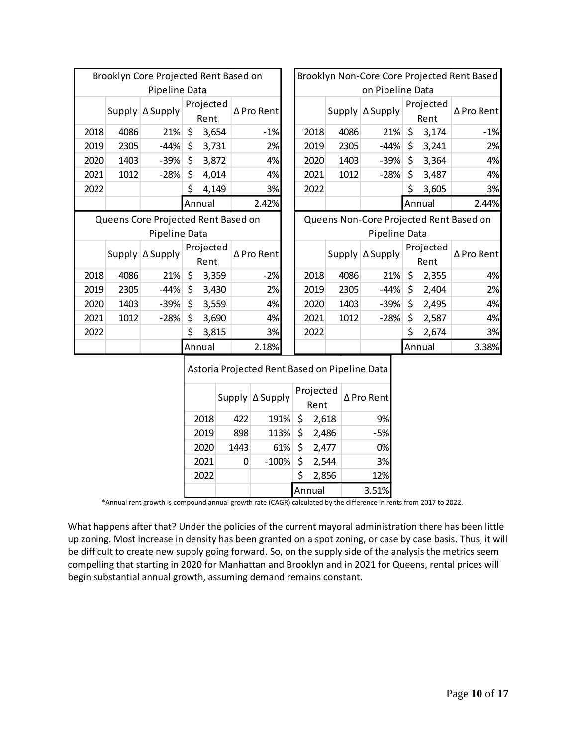| Brooklyn Core Projected Rent Based on |                                     |                        |    | Brooklyn Non-Core Core Projected Rent Based |                                         |      |        |                 |         |                   |                |
|---------------------------------------|-------------------------------------|------------------------|----|---------------------------------------------|-----------------------------------------|------|--------|-----------------|---------|-------------------|----------------|
| Pipeline Data                         |                                     |                        |    |                                             | on Pipeline Data                        |      |        |                 |         |                   |                |
|                                       |                                     | Supply   ∆ Supply      |    | Projected<br>Rent                           | ∆ Pro Rent                              |      | Supply | $\Delta$ Supply |         | Projected<br>Rent | ∆ Pro Rent     |
| 2018                                  | 4086                                | 21%                    | \$ | 3,654                                       | $-1%$                                   | 2018 | 4086   | 21%             | $\zeta$ | 3,174             | $-1%$          |
| 2019                                  | 2305                                | $-44%$                 | \$ | 3,731                                       | 2%                                      | 2019 | 2305   | $-44%$          | \$      | 3,241             | 2%             |
| 2020                                  | 1403                                | $-39%$                 | \$ | 3,872                                       | 4%                                      | 2020 | 1403   | $-39%$          | \$      | 3,364             | 4%             |
| 2021                                  | 1012                                | $-28%$                 | \$ | 4,014                                       | 4%                                      | 2021 | 1012   | $-28%$          | \$      | 3,487             | 4%             |
| 2022                                  |                                     |                        | \$ | 4,149                                       | 3%                                      | 2022 |        |                 | \$      | 3,605             | 3%             |
|                                       |                                     |                        |    | Annual                                      | 2.42%                                   |      |        |                 |         | Annual            | 2.44%          |
|                                       | Queens Core Projected Rent Based on |                        |    |                                             | Queens Non-Core Projected Rent Based on |      |        |                 |         |                   |                |
| Pipeline Data                         |                                     |                        |    |                                             |                                         |      |        |                 |         |                   |                |
|                                       |                                     |                        |    |                                             |                                         |      |        | Pipeline Data   |         |                   |                |
|                                       |                                     | Supply $\Delta$ Supply |    | Projected<br>Rent                           | ∆ Pro Rent                              |      | Supply | ∆ Supply        |         | Projected<br>Rent | ∆ Pro Rent     |
| 2018                                  | 4086                                | 21%                    | \$ | 3,359                                       | $-2%$                                   | 2018 | 4086   | 21%             | \$      | 2,355             | 4%             |
| 2019                                  | 2305                                | $-44%$                 | \$ | 3,430                                       | 2%                                      | 2019 | 2305   | $-44%$          | \$      | 2,404             | 2%             |
| 2020                                  | 1403                                | $-39%$                 | \$ | 3,559                                       | 4%                                      | 2020 | 1403   | $-39%$          | \$      | 2,495             |                |
| 2021                                  | 1012                                | $-28%$                 | \$ | 3,690                                       | 4%                                      | 2021 | 1012   | $-28%$          | \$      | 2,587             |                |
| 2022                                  |                                     |                        | \$ | 3,815                                       | 3%                                      | 2022 |        |                 | \$      | 2,674             | 4%<br>4%<br>3% |
|                                       |                                     |                        |    | Annual                                      | 2.18%                                   |      |        |                 |         | Annual            | 3.38%          |

|  | $ $ Supply $ \Delta$ Supply | $ $ Projected $ $<br>Rent | <b>∆Pro Rent</b> |
|--|-----------------------------|---------------------------|------------------|

|      |      |            |   | Rent              |       |
|------|------|------------|---|-------------------|-------|
| 2018 | 422  | $191\%$ \$ |   | 2,618             | 9%    |
| 2019 | 898  | $113%$ \$  |   | 2,486             | -5%   |
| 2020 | 1443 | $61\%$ \$  |   | 2,477             | 0%    |
| 2021 | 0    |            |   | $-100\%$ \$ 2,544 | 3%    |
| 2022 |      |            | Ś | 2,856             | 12%   |
|      |      |            |   | Annual            | 3.51% |
|      |      |            |   |                   |       |

\*Annual rent growth is compound annual growth rate (CAGR) calculated by the difference in rents from 2017 to 2022.

What happens after that? Under the policies of the current mayoral administration there has been little up zoning. Most increase in density has been granted on a spot zoning, or case by case basis. Thus, it will be difficult to create new supply going forward. So, on the supply side of the analysis the metrics seem compelling that starting in 2020 for Manhattan and Brooklyn and in 2021 for Queens, rental prices will begin substantial annual growth, assuming demand remains constant.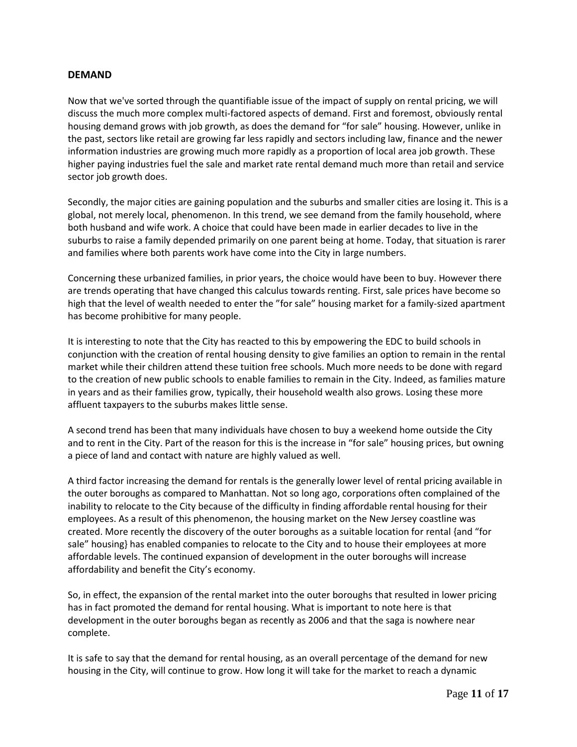# **DEMAND**

Now that we've sorted through the quantifiable issue of the impact of supply on rental pricing, we will discuss the much more complex multi-factored aspects of demand. First and foremost, obviously rental housing demand grows with job growth, as does the demand for "for sale" housing. However, unlike in the past, sectors like retail are growing far less rapidly and sectors including law, finance and the newer information industries are growing much more rapidly as a proportion of local area job growth. These higher paying industries fuel the sale and market rate rental demand much more than retail and service sector job growth does.

Secondly, the major cities are gaining population and the suburbs and smaller cities are losing it. This is a global, not merely local, phenomenon. In this trend, we see demand from the family household, where both husband and wife work. A choice that could have been made in earlier decades to live in the suburbs to raise a family depended primarily on one parent being at home. Today, that situation is rarer and families where both parents work have come into the City in large numbers.

Concerning these urbanized families, in prior years, the choice would have been to buy. However there are trends operating that have changed this calculus towards renting. First, sale prices have become so high that the level of wealth needed to enter the "for sale" housing market for a family-sized apartment has become prohibitive for many people.

It is interesting to note that the City has reacted to this by empowering the EDC to build schools in conjunction with the creation of rental housing density to give families an option to remain in the rental market while their children attend these tuition free schools. Much more needs to be done with regard to the creation of new public schools to enable families to remain in the City. Indeed, as families mature in years and as their families grow, typically, their household wealth also grows. Losing these more affluent taxpayers to the suburbs makes little sense.

A second trend has been that many individuals have chosen to buy a weekend home outside the City and to rent in the City. Part of the reason for this is the increase in "for sale" housing prices, but owning a piece of land and contact with nature are highly valued as well.

A third factor increasing the demand for rentals is the generally lower level of rental pricing available in the outer boroughs as compared to Manhattan. Not so long ago, corporations often complained of the inability to relocate to the City because of the difficulty in finding affordable rental housing for their employees. As a result of this phenomenon, the housing market on the New Jersey coastline was created. More recently the discovery of the outer boroughs as a suitable location for rental {and "for sale" housing} has enabled companies to relocate to the City and to house their employees at more affordable levels. The continued expansion of development in the outer boroughs will increase affordability and benefit the City's economy.

So, in effect, the expansion of the rental market into the outer boroughs that resulted in lower pricing has in fact promoted the demand for rental housing. What is important to note here is that development in the outer boroughs began as recently as 2006 and that the saga is nowhere near complete.

It is safe to say that the demand for rental housing, as an overall percentage of the demand for new housing in the City, will continue to grow. How long it will take for the market to reach a dynamic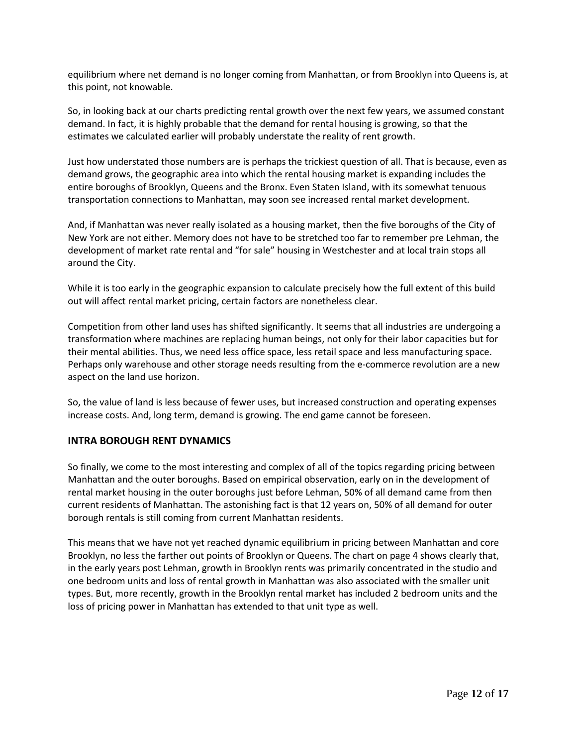equilibrium where net demand is no longer coming from Manhattan, or from Brooklyn into Queens is, at this point, not knowable.

So, in looking back at our charts predicting rental growth over the next few years, we assumed constant demand. In fact, it is highly probable that the demand for rental housing is growing, so that the estimates we calculated earlier will probably understate the reality of rent growth.

Just how understated those numbers are is perhaps the trickiest question of all. That is because, even as demand grows, the geographic area into which the rental housing market is expanding includes the entire boroughs of Brooklyn, Queens and the Bronx. Even Staten Island, with its somewhat tenuous transportation connections to Manhattan, may soon see increased rental market development.

And, if Manhattan was never really isolated as a housing market, then the five boroughs of the City of New York are not either. Memory does not have to be stretched too far to remember pre Lehman, the development of market rate rental and "for sale" housing in Westchester and at local train stops all around the City.

While it is too early in the geographic expansion to calculate precisely how the full extent of this build out will affect rental market pricing, certain factors are nonetheless clear.

Competition from other land uses has shifted significantly. It seems that all industries are undergoing a transformation where machines are replacing human beings, not only for their labor capacities but for their mental abilities. Thus, we need less office space, less retail space and less manufacturing space. Perhaps only warehouse and other storage needs resulting from the e-commerce revolution are a new aspect on the land use horizon.

So, the value of land is less because of fewer uses, but increased construction and operating expenses increase costs. And, long term, demand is growing. The end game cannot be foreseen.

# **INTRA BOROUGH RENT DYNAMICS**

So finally, we come to the most interesting and complex of all of the topics regarding pricing between Manhattan and the outer boroughs. Based on empirical observation, early on in the development of rental market housing in the outer boroughs just before Lehman, 50% of all demand came from then current residents of Manhattan. The astonishing fact is that 12 years on, 50% of all demand for outer borough rentals is still coming from current Manhattan residents.

This means that we have not yet reached dynamic equilibrium in pricing between Manhattan and core Brooklyn, no less the farther out points of Brooklyn or Queens. The chart on page 4 shows clearly that, in the early years post Lehman, growth in Brooklyn rents was primarily concentrated in the studio and one bedroom units and loss of rental growth in Manhattan was also associated with the smaller unit types. But, more recently, growth in the Brooklyn rental market has included 2 bedroom units and the loss of pricing power in Manhattan has extended to that unit type as well.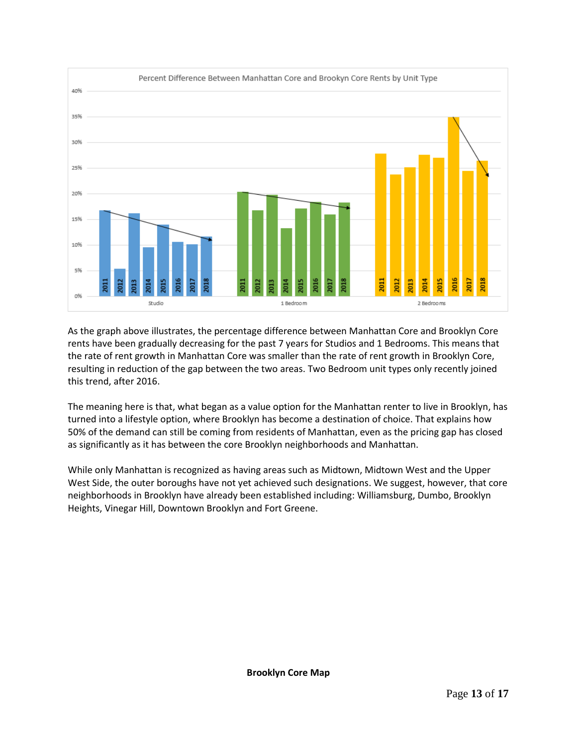

As the graph above illustrates, the percentage difference between Manhattan Core and Brooklyn Core rents have been gradually decreasing for the past 7 years for Studios and 1 Bedrooms. This means that the rate of rent growth in Manhattan Core was smaller than the rate of rent growth in Brooklyn Core, resulting in reduction of the gap between the two areas. Two Bedroom unit types only recently joined this trend, after 2016.

The meaning here is that, what began as a value option for the Manhattan renter to live in Brooklyn, has turned into a lifestyle option, where Brooklyn has become a destination of choice. That explains how 50% of the demand can still be coming from residents of Manhattan, even as the pricing gap has closed as significantly as it has between the core Brooklyn neighborhoods and Manhattan.

While only Manhattan is recognized as having areas such as Midtown, Midtown West and the Upper West Side, the outer boroughs have not yet achieved such designations. We suggest, however, that core neighborhoods in Brooklyn have already been established including: Williamsburg, Dumbo, Brooklyn Heights, Vinegar Hill, Downtown Brooklyn and Fort Greene.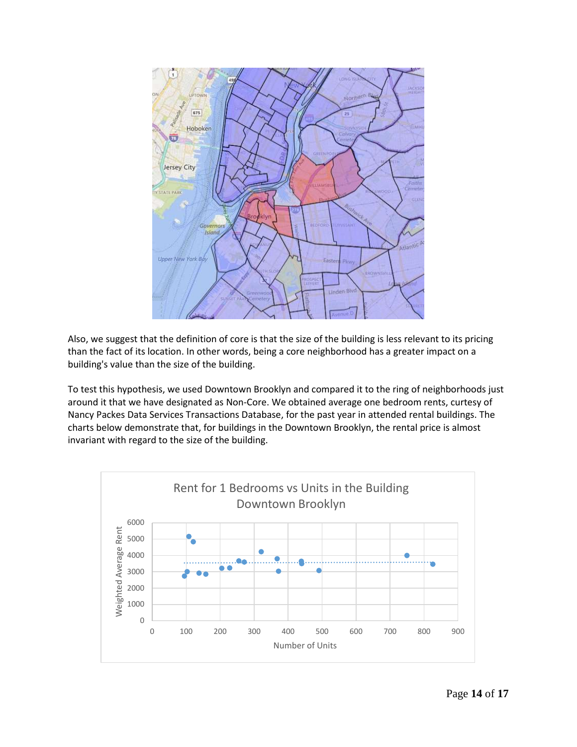

Also, we suggest that the definition of core is that the size of the building is less relevant to its pricing than the fact of its location. In other words, being a core neighborhood has a greater impact on a building's value than the size of the building.

To test this hypothesis, we used Downtown Brooklyn and compared it to the ring of neighborhoods just around it that we have designated as Non-Core. We obtained average one bedroom rents, curtesy of Nancy Packes Data Services Transactions Database, for the past year in attended rental buildings. The charts below demonstrate that, for buildings in the Downtown Brooklyn, the rental price is almost invariant with regard to the size of the building.

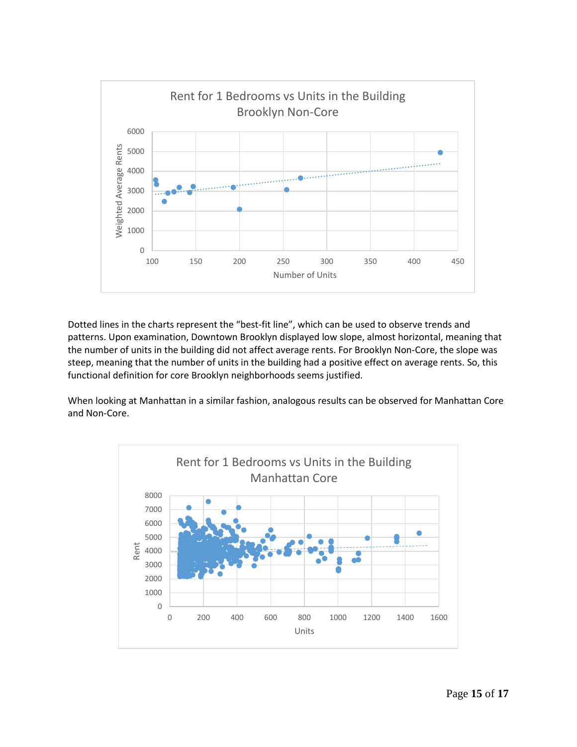

Dotted lines in the charts represent the "best-fit line", which can be used to observe trends and patterns. Upon examination, Downtown Brooklyn displayed low slope, almost horizontal, meaning that the number of units in the building did not affect average rents. For Brooklyn Non-Core, the slope was steep, meaning that the number of units in the building had a positive effect on average rents. So, this functional definition for core Brooklyn neighborhoods seems justified.

When looking at Manhattan in a similar fashion, analogous results can be observed for Manhattan Core and Non-Core.

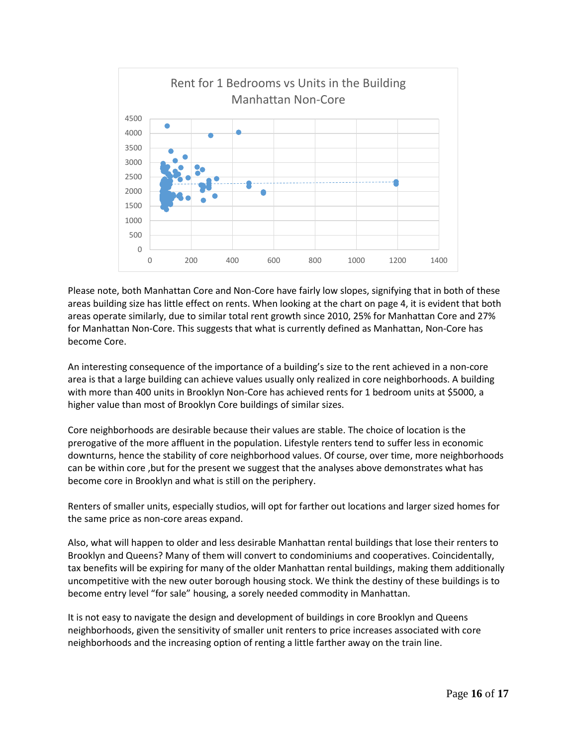

Please note, both Manhattan Core and Non-Core have fairly low slopes, signifying that in both of these areas building size has little effect on rents. When looking at the chart on page 4, it is evident that both areas operate similarly, due to similar total rent growth since 2010, 25% for Manhattan Core and 27% for Manhattan Non-Core. This suggests that what is currently defined as Manhattan, Non-Core has become Core.

An interesting consequence of the importance of a building's size to the rent achieved in a non-core area is that a large building can achieve values usually only realized in core neighborhoods. A building with more than 400 units in Brooklyn Non-Core has achieved rents for 1 bedroom units at \$5000, a higher value than most of Brooklyn Core buildings of similar sizes.

Core neighborhoods are desirable because their values are stable. The choice of location is the prerogative of the more affluent in the population. Lifestyle renters tend to suffer less in economic downturns, hence the stability of core neighborhood values. Of course, over time, more neighborhoods can be within core ,but for the present we suggest that the analyses above demonstrates what has become core in Brooklyn and what is still on the periphery.

Renters of smaller units, especially studios, will opt for farther out locations and larger sized homes for the same price as non-core areas expand.

Also, what will happen to older and less desirable Manhattan rental buildings that lose their renters to Brooklyn and Queens? Many of them will convert to condominiums and cooperatives. Coincidentally, tax benefits will be expiring for many of the older Manhattan rental buildings, making them additionally uncompetitive with the new outer borough housing stock. We think the destiny of these buildings is to become entry level "for sale" housing, a sorely needed commodity in Manhattan.

It is not easy to navigate the design and development of buildings in core Brooklyn and Queens neighborhoods, given the sensitivity of smaller unit renters to price increases associated with core neighborhoods and the increasing option of renting a little farther away on the train line.